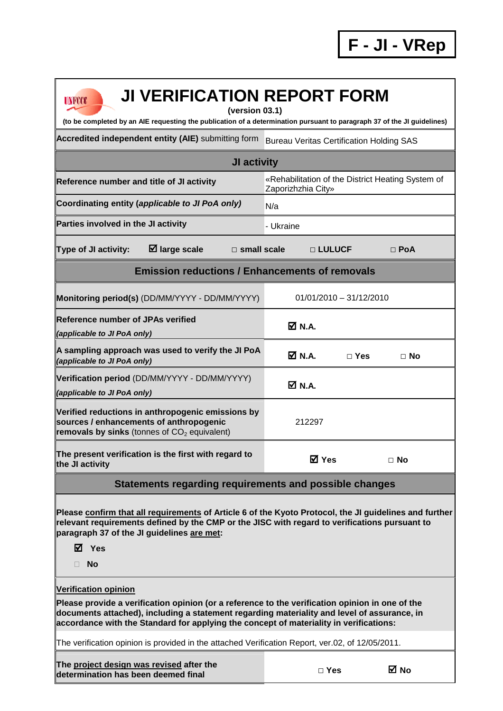| <b>JI VERIFICATION REPORT FORM</b><br><b>UNFCCC</b><br>(version 03.1)                                                                                                                                                                                                                                                   | (to be completed by an AIE requesting the publication of a determination pursuant to paragraph 37 of the JI guidelines) |  |  |  |  |
|-------------------------------------------------------------------------------------------------------------------------------------------------------------------------------------------------------------------------------------------------------------------------------------------------------------------------|-------------------------------------------------------------------------------------------------------------------------|--|--|--|--|
| Accredited independent entity (AIE) submitting form                                                                                                                                                                                                                                                                     | <b>Bureau Veritas Certification Holding SAS</b>                                                                         |  |  |  |  |
| JI activity                                                                                                                                                                                                                                                                                                             |                                                                                                                         |  |  |  |  |
| Reference number and title of JI activity                                                                                                                                                                                                                                                                               | «Rehabilitation of the District Heating System of<br>Zaporizhzhia City»                                                 |  |  |  |  |
| Coordinating entity (applicable to JI PoA only)                                                                                                                                                                                                                                                                         | N/a                                                                                                                     |  |  |  |  |
| Parties involved in the JI activity                                                                                                                                                                                                                                                                                     | - Ukraine                                                                                                               |  |  |  |  |
| $\boxtimes$ large scale<br>Type of JI activity:                                                                                                                                                                                                                                                                         | $\Box$ PoA<br>$\Box$ small scale<br>□ LULUCF                                                                            |  |  |  |  |
| <b>Emission reductions / Enhancements of removals</b>                                                                                                                                                                                                                                                                   |                                                                                                                         |  |  |  |  |
| Monitoring period(s) (DD/MM/YYYY - DD/MM/YYYY)                                                                                                                                                                                                                                                                          | $01/01/2010 - 31/12/2010$                                                                                               |  |  |  |  |
| Reference number of JPAs verified<br>(applicable to JI PoA only)                                                                                                                                                                                                                                                        | $\overline{M}$ N.A.                                                                                                     |  |  |  |  |
| A sampling approach was used to verify the JI PoA<br>(applicable to JI PoA only)                                                                                                                                                                                                                                        | Ø N.A.<br>$\Box$ Yes<br>$\Box$ No                                                                                       |  |  |  |  |
| Verification period (DD/MM/YYYY - DD/MM/YYYY)<br>(applicable to JI PoA only)                                                                                                                                                                                                                                            | M N.A.                                                                                                                  |  |  |  |  |
| Verified reductions in anthropogenic emissions by<br>sources / enhancements of anthropogenic<br>removals by sinks (tonnes of $CO2$ equivalent)                                                                                                                                                                          | 212297                                                                                                                  |  |  |  |  |
| The present verification is the first with regard to<br>the JI activity                                                                                                                                                                                                                                                 | <b>⊠</b> Yes<br>$\Box$ No                                                                                               |  |  |  |  |
| Statements regarding requirements and possible changes                                                                                                                                                                                                                                                                  |                                                                                                                         |  |  |  |  |
| Please confirm that all requirements of Article 6 of the Kyoto Protocol, the JI guidelines and further<br>relevant requirements defined by the CMP or the JISC with regard to verifications pursuant to<br>paragraph 37 of the JI guidelines are met:<br>$\boxtimes$ Yes<br><b>No</b>                                   |                                                                                                                         |  |  |  |  |
| <b>Verification opinion</b><br>Please provide a verification opinion (or a reference to the verification opinion in one of the<br>documents attached), including a statement regarding materiality and level of assurance, in<br>accordance with the Standard for applying the concept of materiality in verifications: |                                                                                                                         |  |  |  |  |
| The verification opinion is provided in the attached Verification Report, ver.02, of 12/05/2011.                                                                                                                                                                                                                        |                                                                                                                         |  |  |  |  |
| The project design was revised after the<br>determination has been deemed final                                                                                                                                                                                                                                         | ⊠ No<br>$\Box$ Yes                                                                                                      |  |  |  |  |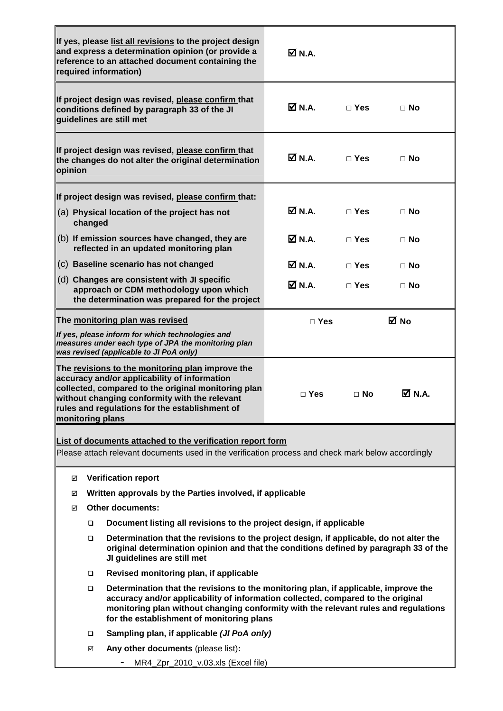|         |         | If yes, please list all revisions to the project design<br>and express a determination opinion (or provide a<br>reference to an attached document containing the<br>required information)                                                                                                                   | $\boxtimes$ N.A.    |            |               |
|---------|---------|-------------------------------------------------------------------------------------------------------------------------------------------------------------------------------------------------------------------------------------------------------------------------------------------------------------|---------------------|------------|---------------|
|         |         | If project design was revised, please confirm that<br>conditions defined by paragraph 33 of the JI<br>quidelines are still met                                                                                                                                                                              | M N.A.              | $\Box$ Yes | $\Box$ No     |
| opinion |         | If project design was revised, please confirm that<br>the changes do not alter the original determination                                                                                                                                                                                                   | $\boxtimes$ N.A.    | $\Box$ Yes | ⊟ No          |
|         |         | If project design was revised, please confirm that:                                                                                                                                                                                                                                                         |                     |            |               |
|         | changed | (a) Physical location of the project has not                                                                                                                                                                                                                                                                | <b>☑</b> N.A.       | $\Box$ Yes | $\Box$ No     |
|         |         | (b) If emission sources have changed, they are<br>reflected in an updated monitoring plan                                                                                                                                                                                                                   | <b>Ø</b> N.A.       | $\Box$ Yes | $\Box$ No     |
|         |         | (c) Baseline scenario has not changed                                                                                                                                                                                                                                                                       | <b>Ø</b> N.A.       | $\Box$ Yes | $\Box$ No     |
|         |         | (d) Changes are consistent with JI specific<br>approach or CDM methodology upon which<br>the determination was prepared for the project                                                                                                                                                                     | $\overline{M}$ N.A. | $\Box$ Yes | $\Box$ No     |
|         |         | The monitoring plan was revised                                                                                                                                                                                                                                                                             | $\Box$ Yes          |            | ⊠ No          |
|         |         | If yes, please inform for which technologies and<br>measures under each type of JPA the monitoring plan<br>was revised (applicable to JI PoA only)                                                                                                                                                          |                     |            |               |
|         |         | The revisions to the monitoring plan improve the<br>accuracy and/or applicability of information<br>collected, compared to the original monitoring plan<br>without changing conformity with the relevant<br>rules and regulations for the establishment of<br>monitoring plans                              | $\Box$ Yes          | $\Box$ No  | <b>☑</b> N.A. |
|         |         | List of documents attached to the verification report form                                                                                                                                                                                                                                                  |                     |            |               |
|         |         | Please attach relevant documents used in the verification process and check mark below accordingly                                                                                                                                                                                                          |                     |            |               |
|         | ☑       | <b>Verification report</b>                                                                                                                                                                                                                                                                                  |                     |            |               |
|         | ☑       | Written approvals by the Parties involved, if applicable                                                                                                                                                                                                                                                    |                     |            |               |
|         | ☑       | <b>Other documents:</b>                                                                                                                                                                                                                                                                                     |                     |            |               |
|         | □       | Document listing all revisions to the project design, if applicable                                                                                                                                                                                                                                         |                     |            |               |
|         | □       | Determination that the revisions to the project design, if applicable, do not alter the<br>original determination opinion and that the conditions defined by paragraph 33 of the<br>JI guidelines are still met                                                                                             |                     |            |               |
|         | □       | Revised monitoring plan, if applicable                                                                                                                                                                                                                                                                      |                     |            |               |
|         | $\Box$  | Determination that the revisions to the monitoring plan, if applicable, improve the<br>accuracy and/or applicability of information collected, compared to the original<br>monitoring plan without changing conformity with the relevant rules and regulations<br>for the establishment of monitoring plans |                     |            |               |
|         | ❏       | Sampling plan, if applicable (JI PoA only)                                                                                                                                                                                                                                                                  |                     |            |               |
|         | ☑       | Any other documents (please list):                                                                                                                                                                                                                                                                          |                     |            |               |
|         |         | MR4_Zpr_2010_v.03.xls (Excel file)                                                                                                                                                                                                                                                                          |                     |            |               |